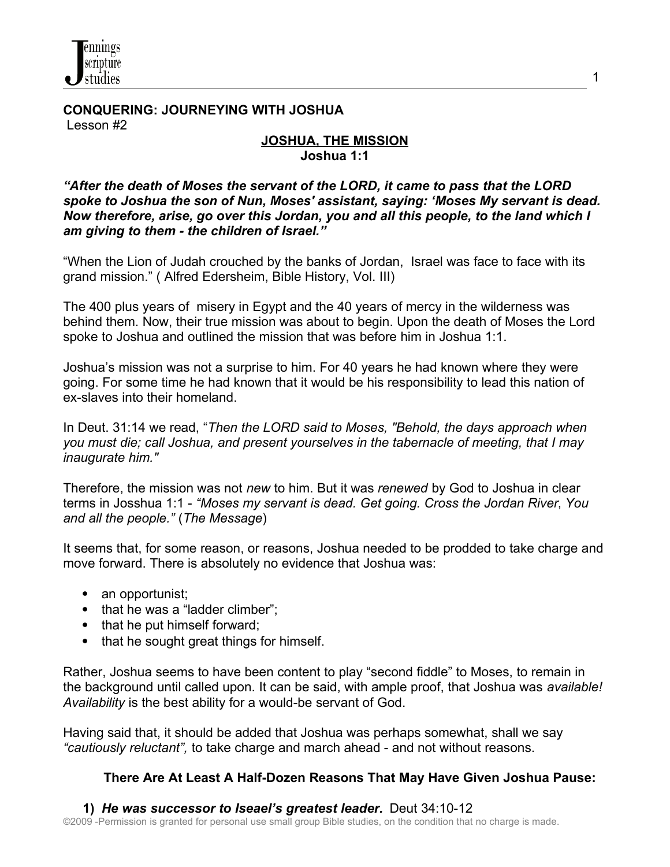**CONQUERING: JOURNEYING WITH JOSHUA** Lesson #2

## **JOSHUA, THE MISSION Joshua 1:1**

1

*"After the death of Moses the servant of the LORD, it came to pass that the LORD spoke to Joshua the son of Nun, Moses' assistant, saying: 'Moses My servant is dead. Now therefore, arise, go over this Jordan, you and all this people, to the land which I am giving to them - the children of Israel."* 

"When the Lion of Judah crouched by the banks of Jordan, Israel was face to face with its grand mission." ( Alfred Edersheim, Bible History, Vol. III)

The 400 plus years of misery in Egypt and the 40 years of mercy in the wilderness was behind them. Now, their true mission was about to begin. Upon the death of Moses the Lord spoke to Joshua and outlined the mission that was before him in Joshua 1:1.

Joshua's mission was not a surprise to him. For 40 years he had known where they were going. For some time he had known that it would be his responsibility to lead this nation of ex-slaves into their homeland.

In Deut. 31:14 we read, "*Then the LORD said to Moses, "Behold, the days approach when you must die; call Joshua, and present yourselves in the tabernacle of meeting, that I may inaugurate him."* 

Therefore, the mission was not *new* to him. But it was *renewed* by God to Joshua in clear terms in Josshua 1:1 - *"Moses my servant is dead. Get going. Cross the Jordan River*, *You and all the people."* (*The Message*)

It seems that, for some reason, or reasons, Joshua needed to be prodded to take charge and move forward. There is absolutely no evidence that Joshua was:

- an opportunist;
- that he was a "ladder climber":
- that he put himself forward;
- that he sought great things for himself.

Rather, Joshua seems to have been content to play "second fiddle" to Moses, to remain in the background until called upon. It can be said, with ample proof, that Joshua was *available! Availability* is the best ability for a would-be servant of God.

Having said that, it should be added that Joshua was perhaps somewhat, shall we say *"cautiously reluctant",* to take charge and march ahead - and not without reasons.

### **There Are At Least A Half-Dozen Reasons That May Have Given Joshua Pause:**

### **1)** *He was successor to Iseael's greatest leader.* Deut 34:10-12

©2009 -Permission is granted for personal use small group Bible studies, on the condition that no charge is made.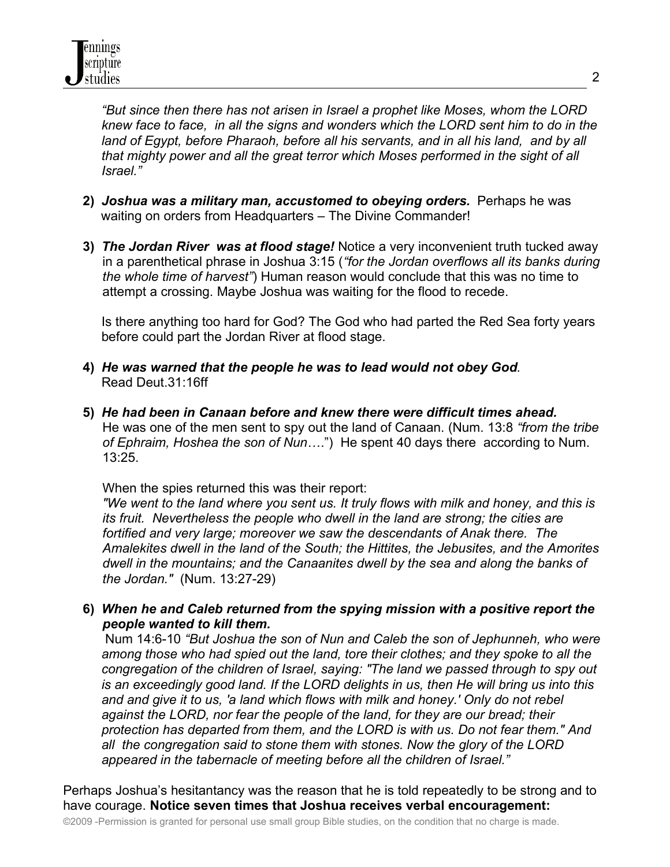*"But since then there has not arisen in Israel a prophet like Moses, whom the LORD knew face to face, in all the signs and wonders which the LORD sent him to do in the land of Egypt, before Pharaoh, before all his servants, and in all his land, and by all that mighty power and all the great terror which Moses performed in the sight of all Israel."*

- **2)** *Joshua was a military man, accustomed to obeying orders.* Perhaps he was waiting on orders from Headquarters – The Divine Commander!
- **3)** *The Jordan River was at flood stage!* Notice a very inconvenient truth tucked away in a parenthetical phrase in Joshua 3:15 (*"for the Jordan overflows all its banks during the whole time of harvest"*) Human reason would conclude that this was no time to attempt a crossing. Maybe Joshua was waiting for the flood to recede.

 Is there anything too hard for God? The God who had parted the Red Sea forty years before could part the Jordan River at flood stage.

- **4)** *He was warned that the people he was to lead would not obey God*. Read Deut.31:16ff
- **5)** *He had been in Canaan before and knew there were difficult times ahead.* He was one of the men sent to spy out the land of Canaan. (Num. 13:8 *"from the tribe of Ephraim, Hoshea the son of Nun*….") He spent 40 days there according to Num. 13:25.

When the spies returned this was their report:

*"We went to the land where you sent us. It truly flows with milk and honey, and this is its fruit. Nevertheless the people who dwell in the land are strong; the cities are fortified and very large; moreover we saw the descendants of Anak there. The Amalekites dwell in the land of the South; the Hittites, the Jebusites, and the Amorites dwell in the mountains; and the Canaanites dwell by the sea and along the banks of the Jordan."* (Num. 13:27-29)

# **6)** *When he and Caleb returned from the spying mission with a positive report the people wanted to kill them.*

Num 14:6-10 *"But Joshua the son of Nun and Caleb the son of Jephunneh, who were among those who had spied out the land, tore their clothes; and they spoke to all the congregation of the children of Israel, saying: "The land we passed through to spy out is an exceedingly good land. If the LORD delights in us, then He will bring us into this and and give it to us, 'a land which flows with milk and honey.' Only do not rebel against the LORD, nor fear the people of the land, for they are our bread; their protection has departed from them, and the LORD is with us. Do not fear them." And all the congregation said to stone them with stones. Now the glory of the LORD appeared in the tabernacle of meeting before all the children of Israel."* 

Perhaps Joshua's hesitantancy was the reason that he is told repeatedly to be strong and to have courage. **Notice seven times that Joshua receives verbal encouragement:**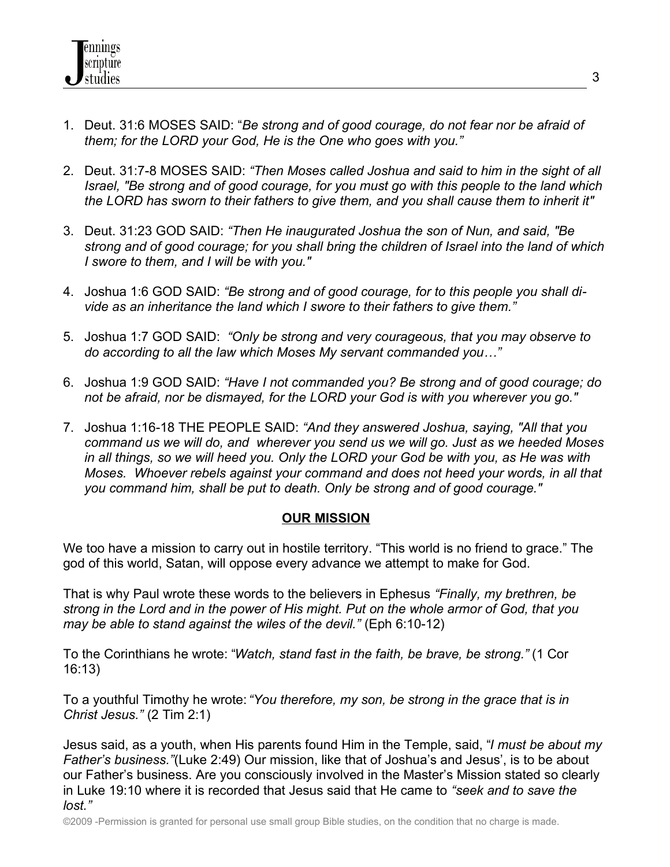- 1. Deut. 31:6 MOSES SAID: "*Be strong and of good courage, do not fear nor be afraid of them; for the LORD your God, He is the One who goes with you."*
- 2. Deut. 31:7-8 MOSES SAID: *"Then Moses called Joshua and said to him in the sight of all Israel, "Be strong and of good courage, for you must go with this people to the land which the LORD has sworn to their fathers to give them, and you shall cause them to inherit it"*
- 3. Deut. 31:23 GOD SAID: *"Then He inaugurated Joshua the son of Nun, and said, "Be strong and of good courage; for you shall bring the children of Israel into the land of which I swore to them, and I will be with you."*
- 4. Joshua 1:6 GOD SAID: *"Be strong and of good courage, for to this people you shall divide as an inheritance the land which I swore to their fathers to give them."*
- 5. Joshua 1:7 GOD SAID: *"Only be strong and very courageous, that you may observe to do according to all the law which Moses My servant commanded you…"*
- 6. Joshua 1:9 GOD SAID: *"Have I not commanded you? Be strong and of good courage; do not be afraid, nor be dismayed, for the LORD your God is with you wherever you go."*
- 7. Joshua 1:16-18 THE PEOPLE SAID: *"And they answered Joshua, saying, "All that you command us we will do, and wherever you send us we will go. Just as we heeded Moses in all things, so we will heed you. Only the LORD your God be with you, as He was with Moses. Whoever rebels against your command and does not heed your words, in all that you command him, shall be put to death. Only be strong and of good courage."*

# **OUR MISSION**

We too have a mission to carry out in hostile territory. "This world is no friend to grace." The god of this world, Satan, will oppose every advance we attempt to make for God.

That is why Paul wrote these words to the believers in Ephesus *"Finally, my brethren, be strong in the Lord and in the power of His might. Put on the whole armor of God, that you may be able to stand against the wiles of the devil."* (Eph 6:10-12)

To the Corinthians he wrote: "*Watch, stand fast in the faith, be brave, be strong."* (1 Cor 16:13)

To a youthful Timothy he wrote: *"You therefore, my son, be strong in the grace that is in Christ Jesus."* (2 Tim 2:1)

Jesus said, as a youth, when His parents found Him in the Temple, said, "*I must be about my Father's business."*(Luke 2:49) Our mission, like that of Joshua's and Jesus', is to be about our Father's business. Are you consciously involved in the Master's Mission stated so clearly in Luke 19:10 where it is recorded that Jesus said that He came to *"seek and to save the lost."*